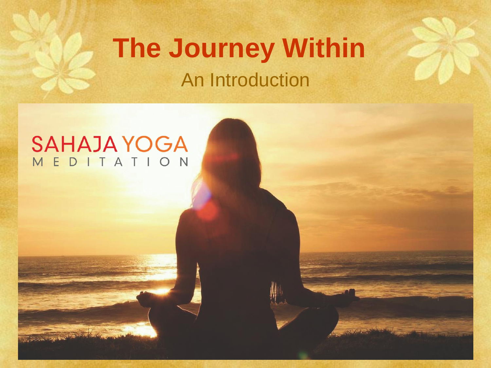#### **The Journey Within** An Introduction

# SAHAJA YOGA

The company of the company of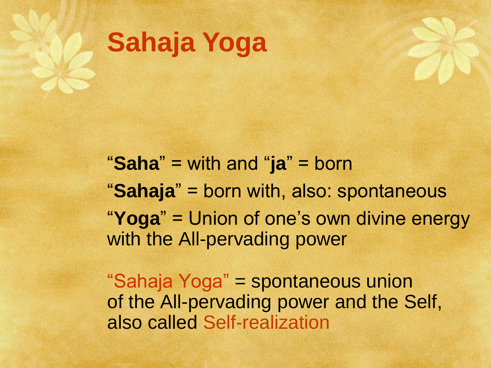

"**Saha**" = with and "**ja**" = born "**Sahaja**" = born with, also: spontaneous "**Yoga**" = Union of one's own divine energy with the All-pervading power

"Sahaja Yoga" = spontaneous union of the All-pervading power and the Self, also called Self-realization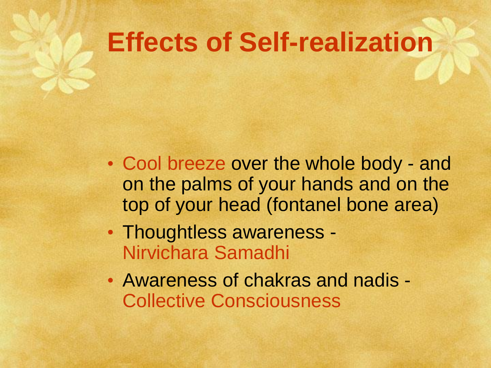### **Effects of Self-realization**

- Cool breeze over the whole body and on the palms of your hands and on the top of your head (fontanel bone area)
- Thoughtless awareness Nirvichara Samadhi
- Awareness of chakras and nadis Collective Consciousness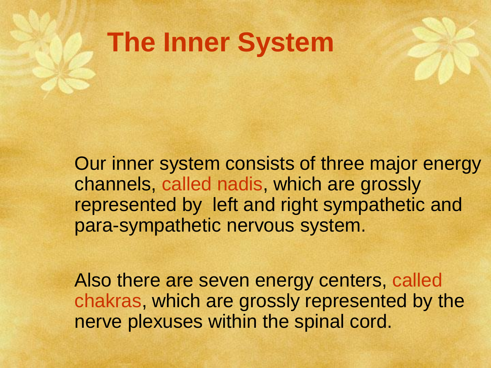## **The Inner System**

Our inner system consists of three major energy channels, called nadis, which are grossly represented by left and right sympathetic and para-sympathetic nervous system.

Also there are seven energy centers, called chakras, which are grossly represented by the nerve plexuses within the spinal cord.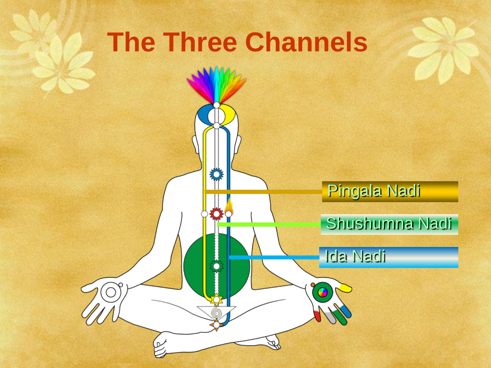# **The Three Channels**

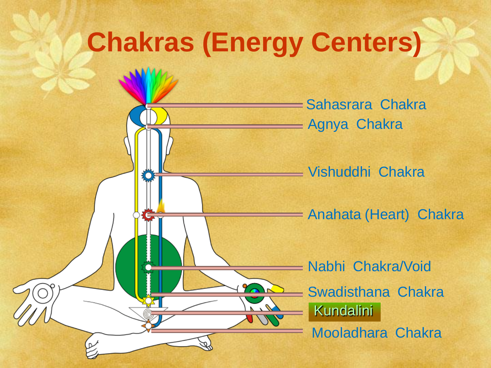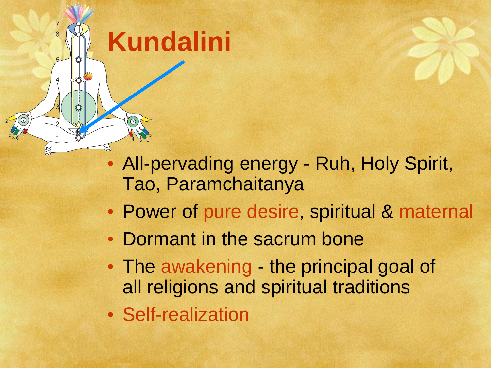#### • All-pervading energy - Ruh, Holy Spirit, Tao, Paramchaitanya

- Power of pure desire, spiritual & maternal
- Dormant in the sacrum bone
- The awakening the principal goal of all religions and spiritual traditions
- Self-realization

**Kundalini**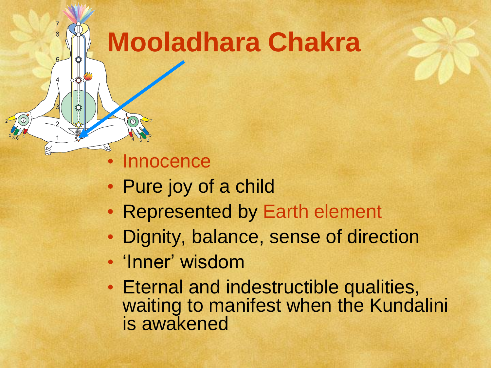## **Mooladhara Chakra**

**Innocence** 

- Pure joy of a child
- Represented by Earth element
- Dignity, balance, sense of direction
- 'Inner' wisdom
- Eternal and indestructible qualities, waiting to manifest when the Kundalini is awakened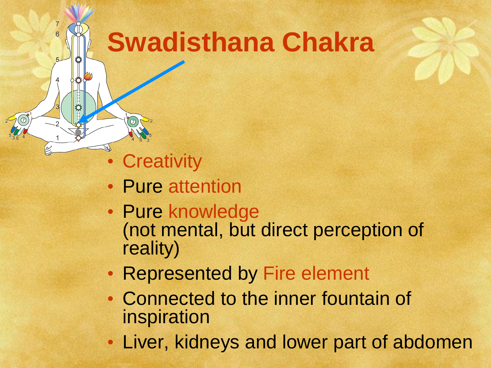# **Swadisthana Chakra**

• Creativity

- Pure attention
- Pure knowledge (not mental, but direct perception of reality)
- Represented by Fire element
- Connected to the inner fountain of inspiration
- Liver, kidneys and lower part of abdomen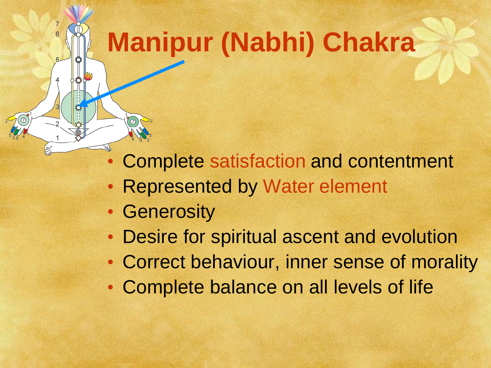# **Manipur (Nabhi) Chakra**

- Complete satisfaction and contentment
- **Represented by Water element**
- Generosity

- Desire for spiritual ascent and evolution
- Correct behaviour, inner sense of morality
- Complete balance on all levels of life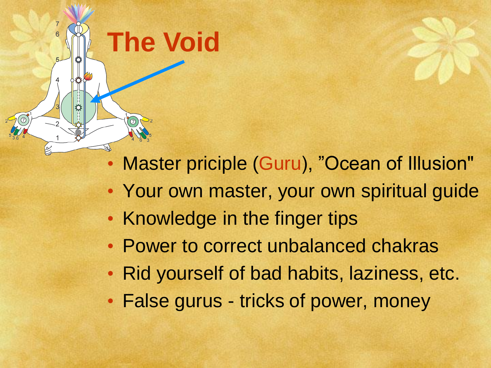

- Your own master, your own spiritual guide
- Knowledge in the finger tips

**The Void**

- Power to correct unbalanced chakras
- Rid yourself of bad habits, laziness, etc.
- False gurus tricks of power, money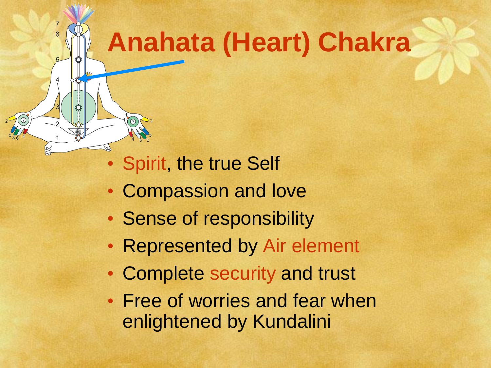# **Anahata (Heart) Chakra**

• Spirit, the true Self

- Compassion and love
- Sense of responsibility
- Represented by Air element
- Complete security and trust
- Free of worries and fear when enlightened by Kundalini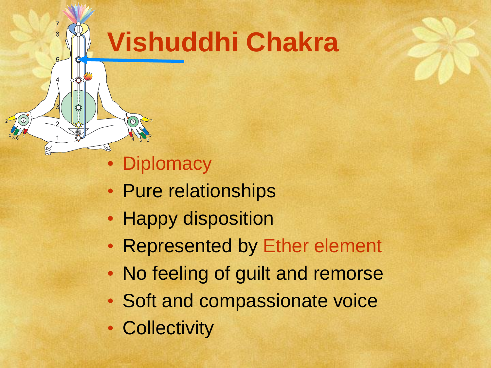# **Vishuddhi Chakra**

• Diplomacy

 $\overline{7}$  $\overline{6}$ 

- Pure relationships
- Happy disposition
- Represented by Ether element
- No feeling of guilt and remorse
- Soft and compassionate voice
- Collectivity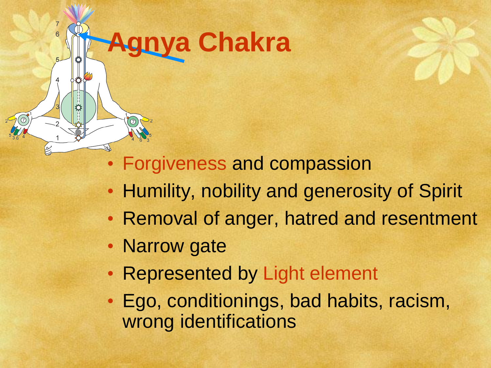# **Agnya Chakra**

 $\overline{7}$  $\overline{6}$ 

• Forgiveness and compassion

- Humility, nobility and generosity of Spirit
- Removal of anger, hatred and resentment
- Narrow gate
- Represented by Light element
- Ego, conditionings, bad habits, racism, wrong identifications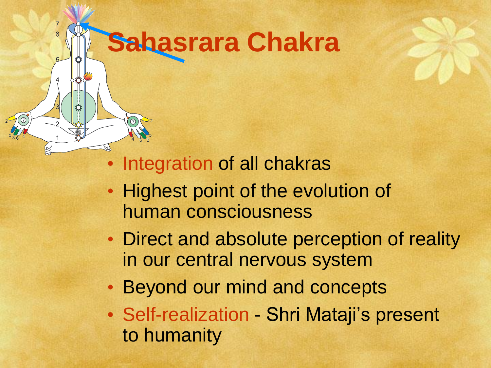# **Sahasrara Chakra**

 $\overline{7}$  $\overline{6}$ 

- Integration of all chakras
- Highest point of the evolution of human consciousness
- Direct and absolute perception of reality in our central nervous system
- Beyond our mind and concepts
- Self-realization Shri Mataji's present to humanity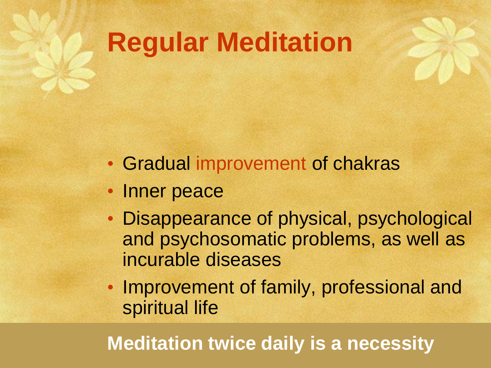# **Regular Meditation**

- Gradual improvement of chakras
- Inner peace
- Disappearance of physical, psychological and psychosomatic problems, as well as incurable diseases
- Improvement of family, professional and spiritual life

#### **Meditation twice daily is a necessity**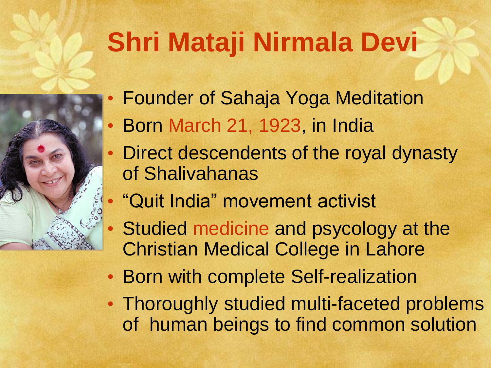# **Shri Mataji Nirmala Devi**



- Born March 21, 1923, in India
- Direct descendents of the royal dynasty of Shalivahanas
- "Quit India" movement activist
- Studied medicine and psycology at the Christian Medical College in Lahore
- Born with complete Self-realization
- Thoroughly studied multi-faceted problems of human beings to find common solution